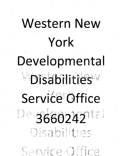## Western New York Developmental **Disabilities** Service Office 3660242

Software to the second

ti